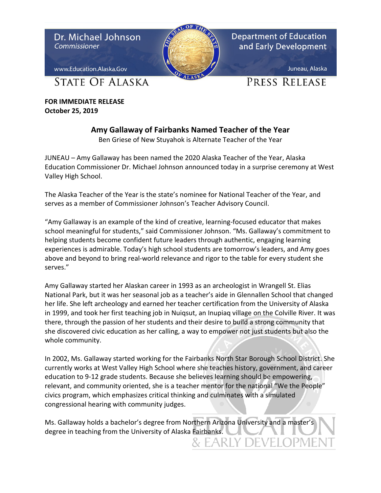

**FOR IMMEDIATE RELEASE October 25, 2019**

## **Amy Gallaway of Fairbanks Named Teacher of the Year**

Ben Griese of New Stuyahok is Alternate Teacher of the Year

JUNEAU – Amy Gallaway has been named the 2020 Alaska Teacher of the Year, Alaska Education Commissioner Dr. Michael Johnson announced today in a surprise ceremony at West Valley High School.

The Alaska Teacher of the Year is the state's nominee for National Teacher of the Year, and serves as a member of Commissioner Johnson's Teacher Advisory Council.

"Amy Gallaway is an example of the kind of creative, learning-focused educator that makes school meaningful for students," said Commissioner Johnson. "Ms. Gallaway's commitment to helping students become confident future leaders through authentic, engaging learning experiences is admirable. Today's high school students are tomorrow's leaders, and Amy goes above and beyond to bring real-world relevance and rigor to the table for every student she serves."

Amy Gallaway started her Alaskan career in 1993 as an archeologist in Wrangell St. Elias National Park, but it was her seasonal job as a teacher's aide in Glennallen School that changed her life. She left archeology and earned her teacher certification from the University of Alaska in 1999, and took her first teaching job in Nuiqsut, an Inupiaq village on the Colville River. It was there, through the passion of her students and their desire to build a strong community that she discovered civic education as her calling, a way to empower not just students but also the whole community.

In 2002, Ms. Gallaway started working for the Fairbanks North Star Borough School District. She currently works at West Valley High School where she teaches history, government, and career education to 9-12 grade students. Because she believes learning should be empowering, relevant, and community oriented, she is a teacher mentor for the national "We the People" civics program, which emphasizes critical thinking and culminates with a simulated congressional hearing with community judges.

Ms. Gallaway holds a bachelor's degree from Northern Arizona University and a master's degree in teaching from the University of Alaska Fairbanks.<br>8. EARLY DEVELOPMEI